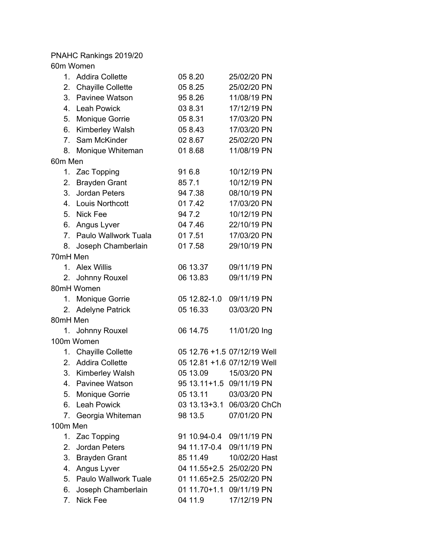PNAHC Rankings 2019/20 60m Women

| 1.             | <b>Addira Collette</b>      | 05 8.20                  | 25/02/20 PN                 |
|----------------|-----------------------------|--------------------------|-----------------------------|
| 2.             | <b>Chayille Collette</b>    | 05 8.25                  | 25/02/20 PN                 |
| 3.             | Pavinee Watson              | 95 8.26                  | 11/08/19 PN                 |
| 4.             | <b>Leah Powick</b>          | 03 8.31                  | 17/12/19 PN                 |
| 5.             | <b>Monique Gorrie</b>       | 05 8.31                  | 17/03/20 PN                 |
| 6.             | Kimberley Walsh             | 05 8.43                  | 17/03/20 PN                 |
| 7 <sub>1</sub> | Sam McKinder                | 02 8.67                  | 25/02/20 PN                 |
| 8.             | Monique Whiteman            | 01 8.68                  | 11/08/19 PN                 |
| 60m Men        |                             |                          |                             |
| 1.             | Zac Topping                 | 91 6.8                   | 10/12/19 PN                 |
| 2.             | <b>Brayden Grant</b>        | 85 7.1                   | 10/12/19 PN                 |
| 3.             | <b>Jordan Peters</b>        | 94 7.38                  | 08/10/19 PN                 |
|                | 4. Louis Northcott          | 01 7.42                  | 17/03/20 PN                 |
|                | 5. Nick Fee                 | 94 7.2                   | 10/12/19 PN                 |
| 6.             | Angus Lyver                 | 04 7.46                  | 22/10/19 PN                 |
| 7 <sub>1</sub> | Paulo Wallwork Tuala        | 01 7.51                  | 17/03/20 PN                 |
|                | 8. Joseph Chamberlain       | 01 7.58                  | 29/10/19 PN                 |
|                | 70mH Men                    |                          |                             |
|                | 1. Alex Willis              | 06 13.37                 | 09/11/19 PN                 |
|                | 2. Johnny Rouxel            | 06 13.83                 | 09/11/19 PN                 |
|                | 80mH Women                  |                          |                             |
| 1.             | Monique Gorrie              | 05 12.82-1.0             | 09/11/19 PN                 |
|                | 2. Adelyne Patrick          | 05 16.33                 | 03/03/20 PN                 |
|                | 80mH Men                    |                          |                             |
|                | 1. Johnny Rouxel            | 06 14.75                 | 11/01/20 Ing                |
|                | 100m Women                  |                          |                             |
|                | 1. Chayille Collette        |                          | 05 12.76 +1.5 07/12/19 Well |
| 2.             | <b>Addira Collette</b>      |                          | 05 12.81 +1.6 07/12/19 Well |
| 3.             | <b>Kimberley Walsh</b>      | 05 13.09                 | 15/03/20 PN                 |
|                | 4. Pavinee Watson           | 95 13.11+1.5 09/11/19 PN |                             |
| 5.             | <b>Monique Gorrie</b>       | 05 13.11                 | 03/03/20 PN                 |
| 6.             | <b>Leah Powick</b>          | 03 13.13+3.1             | 06/03/20 ChCh               |
| 7.             | Georgia Whiteman            | 98 13.5                  | 07/01/20 PN                 |
|                | 100m Men                    |                          |                             |
| 1.             | Zac Topping                 | 91 10.94-0.4             | 09/11/19 PN                 |
| 2.             | <b>Jordan Peters</b>        | 94 11.17-0.4             | 09/11/19 PN                 |
| 3.             | <b>Brayden Grant</b>        | 85 11.49                 | 10/02/20 Hast               |
| 4.             | Angus Lyver                 | 04 11.55+2.5 25/02/20 PN |                             |
| 5.             | <b>Paulo Wallwork Tuale</b> | 01 11.65+2.5 25/02/20 PN |                             |
| 6.             | Joseph Chamberlain          | $0111.70 + 1.1$          | 09/11/19 PN                 |
| 7.             | Nick Fee                    | 04 11.9                  | 17/12/19 PN                 |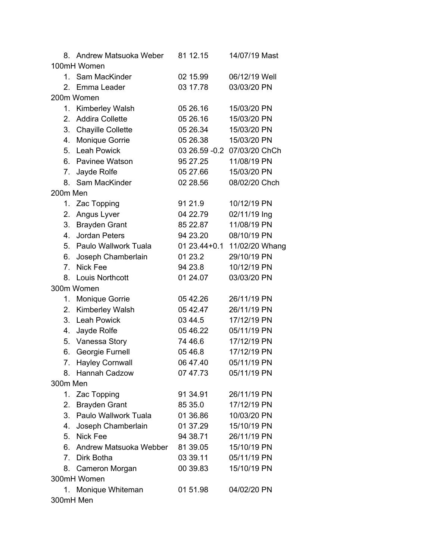| 8.                               | Andrew Matsuoka Weber    | 81 12.15     | 14/07/19 Mast                |  |
|----------------------------------|--------------------------|--------------|------------------------------|--|
| 100mH Women                      |                          |              |                              |  |
| $\mathbf{1}$ .                   | Sam MacKinder            | 02 15.99     | 06/12/19 Well                |  |
| $2_{-}$                          | Emma Leader              | 03 17.78     | 03/03/20 PN                  |  |
|                                  | 200m Women               |              |                              |  |
| 1.                               | Kimberley Walsh          | 05 26.16     | 15/03/20 PN                  |  |
| 2.                               | <b>Addira Collette</b>   | 05 26.16     | 15/03/20 PN                  |  |
| 3.                               | <b>Chayille Collette</b> | 05 26.34     | 15/03/20 PN                  |  |
| 4.                               | Monique Gorrie           | 05 26.38     | 15/03/20 PN                  |  |
| 5.                               | <b>Leah Powick</b>       |              | 03 26.59 - 0.2 07/03/20 ChCh |  |
| 6.                               | Pavinee Watson           | 95 27.25     | 11/08/19 PN                  |  |
| 7.                               | Jayde Rolfe              | 05 27.66     | 15/03/20 PN                  |  |
| 8.                               | Sam MacKinder            | 02 28.56     | 08/02/20 Chch                |  |
| 200m Men                         |                          |              |                              |  |
| 1.                               | Zac Topping              | 91 21.9      | 10/12/19 PN                  |  |
| 2.                               | Angus Lyver              | 04 22.79     | 02/11/19 Ing                 |  |
| 3.                               | <b>Brayden Grant</b>     | 85 22.87     | 11/08/19 PN                  |  |
| 4.                               | Jordan Peters            | 94 23.20     | 08/10/19 PN                  |  |
| 5.                               | Paulo Wallwork Tuala     | 01 23.44+0.1 | 11/02/20 Whang               |  |
| 6.                               | Joseph Chamberlain       | 01 23.2      | 29/10/19 PN                  |  |
| 7.                               | <b>Nick Fee</b>          | 94 23.8      | 10/12/19 PN                  |  |
| 8.                               | Louis Northcott          | 01 24.07     | 03/03/20 PN                  |  |
|                                  | 300m Women               |              |                              |  |
| 1.                               | Monique Gorrie           | 05 42.26     | 26/11/19 PN                  |  |
| 2.                               | Kimberley Walsh          | 05 42.47     | 26/11/19 PN                  |  |
| 3.                               | <b>Leah Powick</b>       | 03 44.5      | 17/12/19 PN                  |  |
| 4.                               | Jayde Rolfe              | 05 46.22     | 05/11/19 PN                  |  |
| 5.                               | Vanessa Story            | 74 46.6      | 17/12/19 PN                  |  |
| 6.                               | Georgie Furnell          | 05 46.8      | 17/12/19 PN                  |  |
| 7.                               | <b>Hayley Cornwall</b>   | 06 47.40     | 05/11/19 PN                  |  |
| 8.                               | Hannah Cadzow            | 07 47.73     | 05/11/19 PN                  |  |
| 300m Men                         |                          |              |                              |  |
| 1.                               | Zac Topping              | 91 34.91     | 26/11/19 PN                  |  |
| 2.                               | <b>Brayden Grant</b>     | 85 35.0      | 17/12/19 PN                  |  |
| 3.                               | Paulo Wallwork Tuala     | 01 36.86     | 10/03/20 PN                  |  |
| 4.                               | Joseph Chamberlain       | 01 37.29     | 15/10/19 PN                  |  |
| 5.                               | Nick Fee                 | 94 38.71     | 26/11/19 PN                  |  |
| 6.                               | Andrew Matsuoka Webber   | 81 39.05     | 15/10/19 PN                  |  |
| $7_{\scriptscriptstyle{\ddots}}$ | Dirk Botha               | 03 39.11     | 05/11/19 PN                  |  |
|                                  | 8. Cameron Morgan        | 00 39.83     | 15/10/19 PN                  |  |
|                                  | 300mH Women              |              |                              |  |
|                                  | 1. Monique Whiteman      | 01 51.98     | 04/02/20 PN                  |  |
| 300mH Men                        |                          |              |                              |  |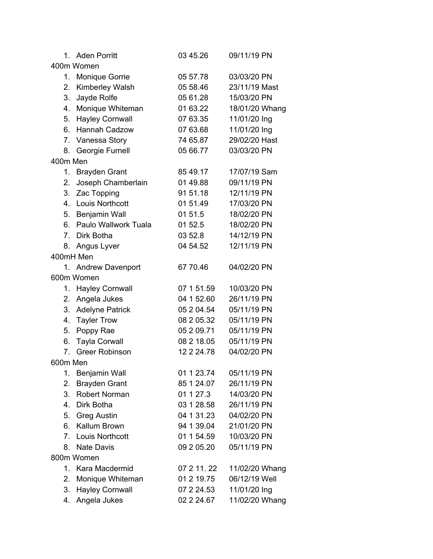| $1_{-}$        | <b>Aden Porritt</b>    | 03 45.26   | 09/11/19 PN    |  |
|----------------|------------------------|------------|----------------|--|
| 400m Women     |                        |            |                |  |
| 1.             | Monique Gorrie         | 05 57.78   | 03/03/20 PN    |  |
| 2.             | Kimberley Walsh        | 05 58.46   | 23/11/19 Mast  |  |
| 3.             | Jayde Rolfe            | 05 61.28   | 15/03/20 PN    |  |
| 4.             | Monique Whiteman       | 01 63.22   | 18/01/20 Whang |  |
| 5.             | <b>Hayley Cornwall</b> | 07 63.35   | 11/01/20 Ing   |  |
| 6.             | Hannah Cadzow          | 07 63.68   | 11/01/20 Ing   |  |
| 7.             | Vanessa Story          | 74 65.87   | 29/02/20 Hast  |  |
| 8.             | Georgie Furnell        | 05 66.77   | 03/03/20 PN    |  |
| 400m Men       |                        |            |                |  |
| 1.             | <b>Brayden Grant</b>   | 85 49.17   | 17/07/19 Sam   |  |
| 2.             | Joseph Chamberlain     | 01 49.88   | 09/11/19 PN    |  |
| 3.             | Zac Topping            | 91 51.18   | 12/11/19 PN    |  |
| 4.             | <b>Louis Northcott</b> | 01 51.49   | 17/03/20 PN    |  |
| 5.             | Benjamin Wall          | 01 51.5    | 18/02/20 PN    |  |
| 6.             | Paulo Wallwork Tuala   | 01 52.5    | 18/02/20 PN    |  |
| 7 <sub>1</sub> | Dirk Botha             | 03 52.8    | 14/12/19 PN    |  |
| 8.             | Angus Lyver            | 04 54.52   | 12/11/19 PN    |  |
| 400mH Men      |                        |            |                |  |
|                | 1. Andrew Davenport    | 67 70.46   | 04/02/20 PN    |  |
|                | 600m Women             |            |                |  |
| 1.             | <b>Hayley Cornwall</b> | 07 1 51.59 | 10/03/20 PN    |  |
| 2.             | Angela Jukes           | 04 1 52.60 | 26/11/19 PN    |  |
| 3.             | <b>Adelyne Patrick</b> | 05 2 04.54 | 05/11/19 PN    |  |
| 4.             | <b>Tayler Trow</b>     | 08 2 05.32 | 05/11/19 PN    |  |
| 5.             | Poppy Rae              | 05 2 09.71 | 05/11/19 PN    |  |
| 6.             | <b>Tayla Corwall</b>   | 08 2 18.05 | 05/11/19 PN    |  |
| 7.             | <b>Greer Robinson</b>  | 12 2 24.78 | 04/02/20 PN    |  |
| 600m Men       |                        |            |                |  |
| 1.             | Benjamin Wall          | 01 1 23.74 | 05/11/19 PN    |  |
| 2.             | <b>Brayden Grant</b>   | 85 1 24.07 | 26/11/19 PN    |  |
| 3.             | Robert Norman          | 01 1 27.3  | 14/03/20 PN    |  |
| 4.             | Dirk Botha             | 03 1 28.58 | 26/11/19 PN    |  |
| 5.             | <b>Greg Austin</b>     | 04 1 31.23 | 04/02/20 PN    |  |
| 6.             | Kallum Brown           | 94 1 39.04 | 21/01/20 PN    |  |
| 7.             | Louis Northcott        | 01 1 54.59 | 10/03/20 PN    |  |
| 8.             | <b>Nate Davis</b>      | 09 2 05.20 | 05/11/19 PN    |  |
| 800m Women     |                        |            |                |  |
| 1.             | Kara Macdermid         | 07 2 11.22 | 11/02/20 Whang |  |
| 2.             | Monique Whiteman       | 01 2 19.75 | 06/12/19 Well  |  |
| 3.             | <b>Hayley Cornwall</b> | 07 2 24.53 | 11/01/20 Ing   |  |
| 4.             | Angela Jukes           | 02 2 24.67 | 11/02/20 Whang |  |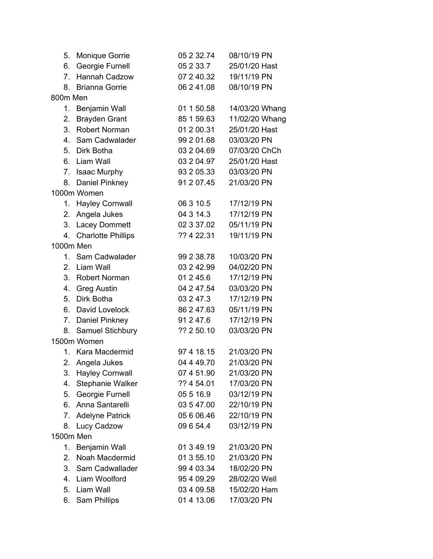| 5.             | Monique Gorrie            | 05 2 32.74 | 08/10/19 PN    |
|----------------|---------------------------|------------|----------------|
| 6.             | <b>Georgie Furnell</b>    | 05 2 3 3.7 | 25/01/20 Hast  |
| 7 <sub>1</sub> | Hannah Cadzow             | 07 2 40.32 | 19/11/19 PN    |
| 8.             | <b>Brianna Gorrie</b>     | 06 2 41.08 | 08/10/19 PN    |
| 800m Men       |                           |            |                |
| 1.             | Benjamin Wall             | 01 1 50.58 | 14/03/20 Whang |
| 2.             | <b>Brayden Grant</b>      | 85 1 59.63 | 11/02/20 Whang |
| 3.             | <b>Robert Norman</b>      | 01 2 00.31 | 25/01/20 Hast  |
| 4.             | Sam Cadwalader            | 99 2 01.68 | 03/03/20 PN    |
| 5.             | Dirk Botha                | 03 2 04.69 | 07/03/20 ChCh  |
| 6.             | Liam Wall                 | 03 2 04.97 | 25/01/20 Hast  |
| 7.             | <b>Isaac Murphy</b>       | 93 2 05.33 | 03/03/20 PN    |
| 8.             | Daniel Pinkney            | 91 2 07.45 | 21/03/20 PN    |
|                | 1000m Women               |            |                |
| 1.             | <b>Hayley Cornwall</b>    | 06 3 10.5  | 17/12/19 PN    |
| 2.             | Angela Jukes              | 04 3 14.3  | 17/12/19 PN    |
| 3.             | <b>Lacey Dommett</b>      | 02 3 37.02 | 05/11/19 PN    |
| 4.             | <b>Charlotte Phillips</b> | ?? 4 22.31 | 19/11/19 PN    |
| 1000m Men      |                           |            |                |
| 1.             | Sam Cadwalader            | 99 2 38.78 | 10/03/20 PN    |
| 2.             | Liam Wall                 | 03 2 42.99 | 04/02/20 PN    |
| 3.             | <b>Robert Norman</b>      | 01 2 45.6  | 17/12/19 PN    |
|                | 4. Greg Austin            | 04 2 47.54 | 03/03/20 PN    |
| 5.             | Dirk Botha                | 03 2 47.3  | 17/12/19 PN    |
| 6.             | David Lovelock            | 86 2 47.63 | 05/11/19 PN    |
| 7.             | Daniel Pinkney            | 91 2 47.6  | 17/12/19 PN    |
| 8.             | Samuel Stichbury          | ?? 2 50.10 | 03/03/20 PN    |
|                | 1500m Women               |            |                |
| 1.             | Kara Macdermid            | 97 4 18.15 | 21/03/20 PN    |
| 2.             | Angela Jukes              | 04 4 49.70 | 21/03/20 PN    |
| 3.             | <b>Hayley Cornwall</b>    | 07 4 51.90 | 21/03/20 PN    |
| 4.             | Stephanie Walker          | ?? 4 54.01 | 17/03/20 PN    |
| 5.             | Georgie Furnell           | 05 5 16.9  | 03/12/19 PN    |
| 6.             | Anna Santarelli           | 03 5 47.00 | 22/10/19 PN    |
| 7.             | <b>Adelyne Patrick</b>    | 05 6 06.46 | 22/10/19 PN    |
| 8.             | Lucy Cadzow               | 09 6 54.4  | 03/12/19 PN    |
| 1500m Men      |                           |            |                |
| 1.             | Benjamin Wall             | 01 3 49.19 | 21/03/20 PN    |
| 2.             | Noah Macdermid            | 01 3 55.10 | 21/03/20 PN    |
| 3.             | Sam Cadwallader           | 99 4 03.34 | 18/02/20 PN    |
| 4.             | Liam Woolford             | 95 4 09.29 | 28/02/20 Well  |
| 5.             | Liam Wall                 | 03 4 09.58 | 15/02/20 Ham   |
| 6.             | Sam Phillips              | 01 4 13.06 | 17/03/20 PN    |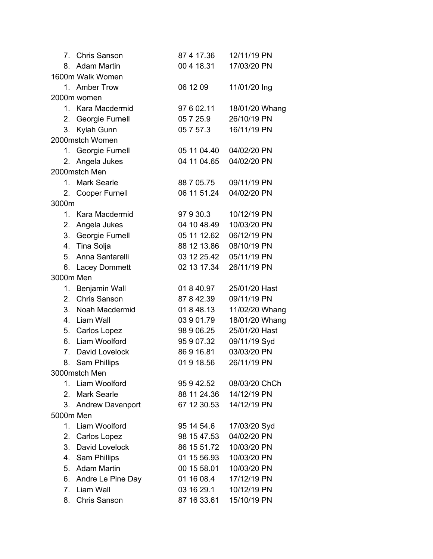| 7              | <b>Chris Sanson</b> | 87 4 17.36  | 12/11/19 PN    |  |
|----------------|---------------------|-------------|----------------|--|
| 8.             | <b>Adam Martin</b>  | 00 4 18.31  | 17/03/20 PN    |  |
|                | 1600m Walk Women    |             |                |  |
|                | 1. Amber Trow       | 06 12 09    | 11/01/20 Ing   |  |
|                | 2000m women         |             |                |  |
|                | 1. Kara Macdermid   | 97 6 02.11  | 18/01/20 Whang |  |
| 2.             | Georgie Furnell     | 05 7 25.9   | 26/10/19 PN    |  |
| 3.             | Kylah Gunn          | 05 7 57.3   | 16/11/19 PN    |  |
|                | 2000mstch Women     |             |                |  |
|                | 1. Georgie Furnell  | 05 11 04.40 | 04/02/20 PN    |  |
| 2.             | Angela Jukes        | 04 11 04.65 | 04/02/20 PN    |  |
|                | 2000mstch Men       |             |                |  |
|                | 1. Mark Searle      | 88 7 05.75  | 09/11/19 PN    |  |
|                | 2. Cooper Furnell   | 06 11 51.24 | 04/02/20 PN    |  |
| 3000m          |                     |             |                |  |
| $\mathbf{1}$ . | Kara Macdermid      | 97 9 30.3   | 10/12/19 PN    |  |
| 2.             | Angela Jukes        | 04 10 48.49 | 10/03/20 PN    |  |
|                | 3. Georgie Furnell  | 05 11 12.62 | 06/12/19 PN    |  |
| 4.             | Tina Solja          | 88 12 13.86 | 08/10/19 PN    |  |
| 5.             | Anna Santarelli     | 03 12 25.42 | 05/11/19 PN    |  |
|                | 6. Lacey Dommett    | 02 13 17.34 | 26/11/19 PN    |  |
| 3000m Men      |                     |             |                |  |
| 1.             | Benjamin Wall       | 01 8 40.97  | 25/01/20 Hast  |  |
| 2.             | <b>Chris Sanson</b> | 87 8 42.39  | 09/11/19 PN    |  |
| 3.             | Noah Macdermid      | 01 8 48.13  | 11/02/20 Whang |  |
| 4.             | Liam Wall           | 03 9 01.79  | 18/01/20 Whang |  |
|                | 5. Carlos Lopez     | 98 9 06.25  | 25/01/20 Hast  |  |
| 6.             | Liam Woolford       | 95 9 07.32  | 09/11/19 Syd   |  |
| 7.             | David Lovelock      | 86916.81    | 03/03/20 PN    |  |
| 8.             | Sam Phillips        | 01918.56    | 26/11/19 PN    |  |
|                | 3000mstch Men       |             |                |  |
|                | 1. Liam Woolford    | 95 9 42.52  | 08/03/20 ChCh  |  |
| 2.             | <b>Mark Searle</b>  | 88 11 24.36 | 14/12/19 PN    |  |
| 3.             | Andrew Davenport    | 67 12 30.53 | 14/12/19 PN    |  |
| 5000m Men      |                     |             |                |  |
|                | 1. Liam Woolford    | 95 14 54.6  | 17/03/20 Syd   |  |
| 2.             | <b>Carlos Lopez</b> | 98 15 47.53 | 04/02/20 PN    |  |
| 3.             | David Lovelock      | 86 15 51.72 | 10/03/20 PN    |  |
|                | 4. Sam Phillips     | 01 15 56.93 | 10/03/20 PN    |  |
| 5.             | Adam Martin         | 00 15 58.01 | 10/03/20 PN    |  |
| 6.             | Andre Le Pine Day   | 01 16 08.4  | 17/12/19 PN    |  |
| 7.             | Liam Wall           | 03 16 29.1  | 10/12/19 PN    |  |
| 8.             | <b>Chris Sanson</b> | 87 16 33.61 | 15/10/19 PN    |  |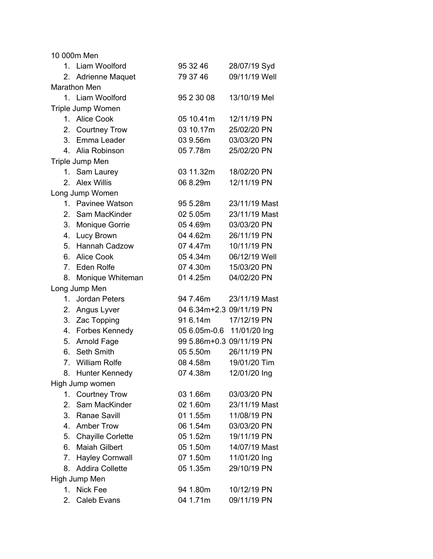10 000m Men

| 1.             | Liam Woolford          | 95 32 46                 | 28/07/19 Syd  |  |  |
|----------------|------------------------|--------------------------|---------------|--|--|
| 2.             | <b>Adrienne Maquet</b> | 79 37 46                 | 09/11/19 Well |  |  |
|                | Marathon Men           |                          |               |  |  |
|                | 1. Liam Woolford       | 95 2 30 08               | 13/10/19 Mel  |  |  |
|                | Triple Jump Women      |                          |               |  |  |
|                | 1. Alice Cook          | 05 10.41m                | 12/11/19 PN   |  |  |
| 2.             | <b>Courtney Trow</b>   | 03 10.17m                | 25/02/20 PN   |  |  |
| 3.             | Emma Leader            | 03 9.56m                 | 03/03/20 PN   |  |  |
| 4.             | Alia Robinson          | 05 7.78m                 | 25/02/20 PN   |  |  |
|                | Triple Jump Men        |                          |               |  |  |
|                | 1. Sam Laurey          | 03 11.32m                | 18/02/20 PN   |  |  |
| 2.             | <b>Alex Willis</b>     | 06 8.29m                 | 12/11/19 PN   |  |  |
|                | Long Jump Women        |                          |               |  |  |
|                | 1. Pavinee Watson      | 95 5.28m                 | 23/11/19 Mast |  |  |
| 2.             | Sam MacKinder          | 02 5.05m                 | 23/11/19 Mast |  |  |
|                | 3. Monique Gorrie      | 05 4.69m                 | 03/03/20 PN   |  |  |
|                | 4. Lucy Brown          | 04 4.62m                 | 26/11/19 PN   |  |  |
| 5.             | Hannah Cadzow          | 074.47m                  | 10/11/19 PN   |  |  |
| 6.             | <b>Alice Cook</b>      | 05 4.34m                 | 06/12/19 Well |  |  |
|                | 7. Eden Rolfe          | 07 4.30m                 | 15/03/20 PN   |  |  |
| 8.             | Monique Whiteman       | 01 4.25m                 | 04/02/20 PN   |  |  |
|                | Long Jump Men          |                          |               |  |  |
| $\mathbf{1}$ . | <b>Jordan Peters</b>   | 94 7.46m                 | 23/11/19 Mast |  |  |
| 2.             | Angus Lyver            | 04 6.34m+2.3 09/11/19 PN |               |  |  |
| 3.             | Zac Topping            | 91 6.14m                 | 17/12/19 PN   |  |  |
| 4.             | Forbes Kennedy         | 05 6.05m-0.6             | 11/01/20 Ing  |  |  |
| 5.             | Arnold Fage            | 99 5.86m+0.3 09/11/19 PN |               |  |  |
|                | 6. Seth Smith          | 05 5.50m                 | 26/11/19 PN   |  |  |
| 7.             | <b>William Rolfe</b>   | 08 4.58m                 | 19/01/20 Tim  |  |  |
| 8.             | Hunter Kennedy         | 07 4.38m                 | 12/01/20 Ing  |  |  |
|                | High Jump women        |                          |               |  |  |
|                | 1. Courtney Trow       | 03 1.66m                 | 03/03/20 PN   |  |  |
| 2.             | Sam MacKinder          | 02 1.60m                 | 23/11/19 Mast |  |  |
|                | 3. Ranae Savill        | 01 1.55m                 | 11/08/19 PN   |  |  |
|                | 4. Amber Trow          | 06 1.54m                 | 03/03/20 PN   |  |  |
|                | 5. Chayille Corlette   | 05 1.52m                 | 19/11/19 PN   |  |  |
| 6.             | <b>Maiah Gilbert</b>   | 05 1.50m                 | 14/07/19 Mast |  |  |
| 7.             | <b>Hayley Cornwall</b> | 07 1.50m                 | 11/01/20 Ing  |  |  |
| 8.             | <b>Addira Collette</b> | 05 1.35m                 | 29/10/19 PN   |  |  |
| High Jump Men  |                        |                          |               |  |  |
| 1.             | <b>Nick Fee</b>        | 94 1.80m                 | 10/12/19 PN   |  |  |
| 2.             | Caleb Evans            | 04 1.71m                 | 09/11/19 PN   |  |  |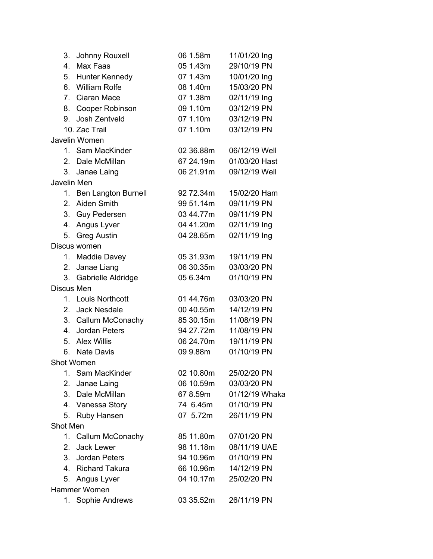| 3.           | Johnny Rouxell         | 06 1.58m  | 11/01/20 Ing   |  |
|--------------|------------------------|-----------|----------------|--|
| 4.           | Max Faas               | 05 1.43m  | 29/10/19 PN    |  |
| 5.           | Hunter Kennedy         | 07 1.43m  | 10/01/20 Ing   |  |
| 6.           | <b>William Rolfe</b>   | 08 1.40m  | 15/03/20 PN    |  |
| 7.           | Ciaran Mace            | 07 1.38m  | 02/11/19 Ing   |  |
| 8.           | Cooper Robinson        | 09 1.10m  | 03/12/19 PN    |  |
| 9.           | Josh Zentveld          | 07 1.10m  | 03/12/19 PN    |  |
|              | 10. Zac Trail          | 07 1.10m  | 03/12/19 PN    |  |
|              | Javelin Women          |           |                |  |
|              | 1. Sam MacKinder       | 02 36.88m | 06/12/19 Well  |  |
| $2_{\cdot}$  | Dale McMillan          | 67 24.19m | 01/03/20 Hast  |  |
| 3.           | Janae Laing            | 06 21.91m | 09/12/19 Well  |  |
| Javelin Men  |                        |           |                |  |
|              | 1. Ben Langton Burnell | 92 72.34m | 15/02/20 Ham   |  |
| 2.           | Aiden Smith            | 99 51.14m | 09/11/19 PN    |  |
| 3.           | Guy Pedersen           | 03 44.77m | 09/11/19 PN    |  |
| 4.           | Angus Lyver            | 04 41.20m | 02/11/19 Ing   |  |
| 5.           | <b>Greg Austin</b>     | 04 28.65m | 02/11/19 Ing   |  |
|              | Discus women           |           |                |  |
| 1.           | Maddie Davey           | 05 31.93m | 19/11/19 PN    |  |
| 2.           | Janae Liang            | 06 30.35m | 03/03/20 PN    |  |
| 3.           | Gabrielle Aldridge     | 05 6.34m  | 01/10/19 PN    |  |
| Discus Men   |                        |           |                |  |
| 1.           | Louis Northcott        | 01 44.76m | 03/03/20 PN    |  |
| 2.           | Jack Nesdale           | 00 40.55m | 14/12/19 PN    |  |
|              | 3. Callum McConachy    | 85 30.15m | 11/08/19 PN    |  |
|              | 4. Jordan Peters       | 94 27.72m | 11/08/19 PN    |  |
| 5.           | <b>Alex Willis</b>     | 06 24.70m | 19/11/19 PN    |  |
| 6.           | <b>Nate Davis</b>      | 09 9.88m  | 01/10/19 PN    |  |
|              | Shot Women             |           |                |  |
| 1.           | Sam MacKinder          | 02 10.80m | 25/02/20 PN    |  |
| 2.           | Janae Laing            | 06 10.59m | 03/03/20 PN    |  |
| 3.           | Dale McMillan          | 67 8.59m  | 01/12/19 Whaka |  |
| 4.           | Vanessa Story          | 74 6.45m  | 01/10/19 PN    |  |
| 5.           | Ruby Hansen            | 07 5.72m  | 26/11/19 PN    |  |
| Shot Men     |                        |           |                |  |
| 1.           | Callum McConachy       | 85 11.80m | 07/01/20 PN    |  |
| 2.           | Jack Lewer             | 98 11.18m | 08/11/19 UAE   |  |
|              | 3. Jordan Peters       | 94 10.96m | 01/10/19 PN    |  |
| 4.           | <b>Richard Takura</b>  | 66 10.96m | 14/12/19 PN    |  |
| 5.           | Angus Lyver            | 04 10.17m | 25/02/20 PN    |  |
| Hammer Women |                        |           |                |  |
| 1.           | Sophie Andrews         | 03 35.52m | 26/11/19 PN    |  |